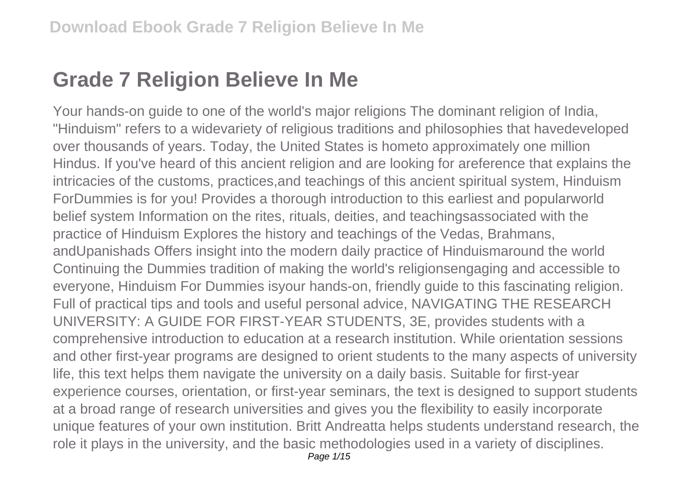## **Grade 7 Religion Believe In Me**

Your hands-on guide to one of the world's major religions The dominant religion of India, "Hinduism" refers to a widevariety of religious traditions and philosophies that havedeveloped over thousands of years. Today, the United States is hometo approximately one million Hindus. If you've heard of this ancient religion and are looking for areference that explains the intricacies of the customs, practices,and teachings of this ancient spiritual system, Hinduism ForDummies is for you! Provides a thorough introduction to this earliest and popularworld belief system Information on the rites, rituals, deities, and teachingsassociated with the practice of Hinduism Explores the history and teachings of the Vedas, Brahmans, andUpanishads Offers insight into the modern daily practice of Hinduismaround the world Continuing the Dummies tradition of making the world's religionsengaging and accessible to everyone, Hinduism For Dummies isyour hands-on, friendly guide to this fascinating religion. Full of practical tips and tools and useful personal advice, NAVIGATING THE RESEARCH UNIVERSITY: A GUIDE FOR FIRST-YEAR STUDENTS, 3E, provides students with a comprehensive introduction to education at a research institution. While orientation sessions and other first-year programs are designed to orient students to the many aspects of university life, this text helps them navigate the university on a daily basis. Suitable for first-year experience courses, orientation, or first-year seminars, the text is designed to support students at a broad range of research universities and gives you the flexibility to easily incorporate unique features of your own institution. Britt Andreatta helps students understand research, the role it plays in the university, and the basic methodologies used in a variety of disciplines. Page 1/15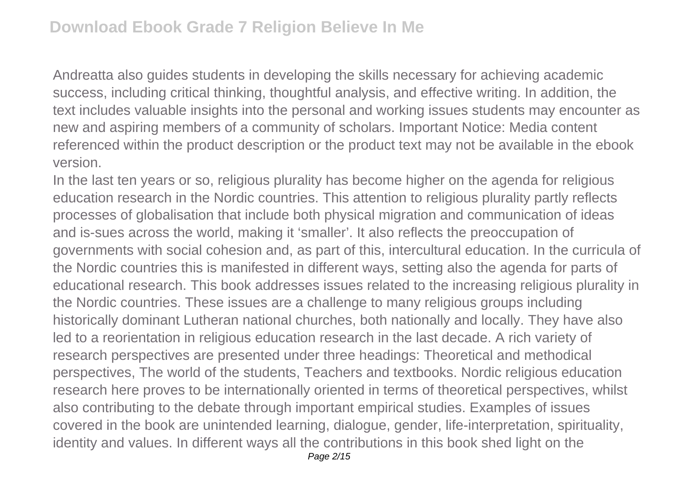Andreatta also guides students in developing the skills necessary for achieving academic success, including critical thinking, thoughtful analysis, and effective writing. In addition, the text includes valuable insights into the personal and working issues students may encounter as new and aspiring members of a community of scholars. Important Notice: Media content referenced within the product description or the product text may not be available in the ebook version.

In the last ten years or so, religious plurality has become higher on the agenda for religious education research in the Nordic countries. This attention to religious plurality partly reflects processes of globalisation that include both physical migration and communication of ideas and is-sues across the world, making it 'smaller'. It also reflects the preoccupation of governments with social cohesion and, as part of this, intercultural education. In the curricula of the Nordic countries this is manifested in different ways, setting also the agenda for parts of educational research. This book addresses issues related to the increasing religious plurality in the Nordic countries. These issues are a challenge to many religious groups including historically dominant Lutheran national churches, both nationally and locally. They have also led to a reorientation in religious education research in the last decade. A rich variety of research perspectives are presented under three headings: Theoretical and methodical perspectives, The world of the students, Teachers and textbooks. Nordic religious education research here proves to be internationally oriented in terms of theoretical perspectives, whilst also contributing to the debate through important empirical studies. Examples of issues covered in the book are unintended learning, dialogue, gender, life-interpretation, spirituality, identity and values. In different ways all the contributions in this book shed light on the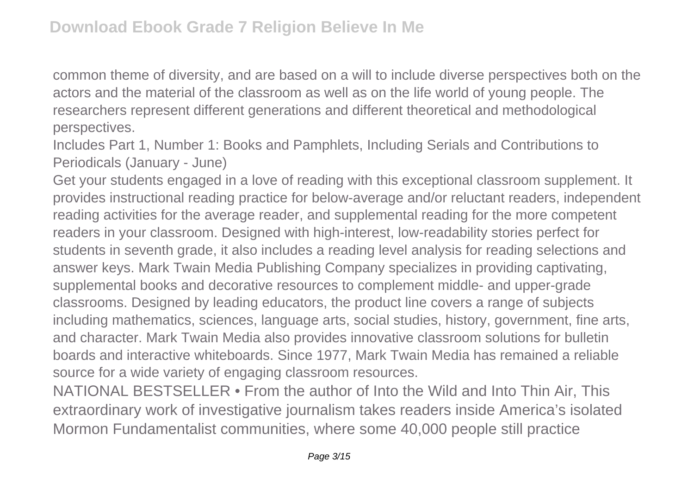common theme of diversity, and are based on a will to include diverse perspectives both on the actors and the material of the classroom as well as on the life world of young people. The researchers represent different generations and different theoretical and methodological perspectives.

Includes Part 1, Number 1: Books and Pamphlets, Including Serials and Contributions to Periodicals (January - June)

Get your students engaged in a love of reading with this exceptional classroom supplement. It provides instructional reading practice for below-average and/or reluctant readers, independent reading activities for the average reader, and supplemental reading for the more competent readers in your classroom. Designed with high-interest, low-readability stories perfect for students in seventh grade, it also includes a reading level analysis for reading selections and answer keys. Mark Twain Media Publishing Company specializes in providing captivating, supplemental books and decorative resources to complement middle- and upper-grade classrooms. Designed by leading educators, the product line covers a range of subjects including mathematics, sciences, language arts, social studies, history, government, fine arts, and character. Mark Twain Media also provides innovative classroom solutions for bulletin boards and interactive whiteboards. Since 1977, Mark Twain Media has remained a reliable source for a wide variety of engaging classroom resources.

NATIONAL BESTSELLER • From the author of Into the Wild and Into Thin Air, This extraordinary work of investigative journalism takes readers inside America's isolated Mormon Fundamentalist communities, where some 40,000 people still practice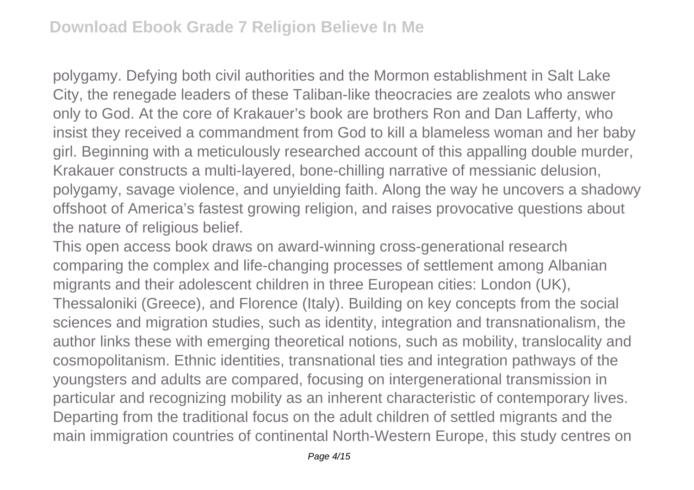polygamy. Defying both civil authorities and the Mormon establishment in Salt Lake City, the renegade leaders of these Taliban-like theocracies are zealots who answer only to God. At the core of Krakauer's book are brothers Ron and Dan Lafferty, who insist they received a commandment from God to kill a blameless woman and her baby girl. Beginning with a meticulously researched account of this appalling double murder, Krakauer constructs a multi-layered, bone-chilling narrative of messianic delusion, polygamy, savage violence, and unyielding faith. Along the way he uncovers a shadowy offshoot of America's fastest growing religion, and raises provocative questions about the nature of religious belief.

This open access book draws on award-winning cross-generational research comparing the complex and life-changing processes of settlement among Albanian migrants and their adolescent children in three European cities: London (UK), Thessaloniki (Greece), and Florence (Italy). Building on key concepts from the social sciences and migration studies, such as identity, integration and transnationalism, the author links these with emerging theoretical notions, such as mobility, translocality and cosmopolitanism. Ethnic identities, transnational ties and integration pathways of the youngsters and adults are compared, focusing on intergenerational transmission in particular and recognizing mobility as an inherent characteristic of contemporary lives. Departing from the traditional focus on the adult children of settled migrants and the main immigration countries of continental North-Western Europe, this study centres on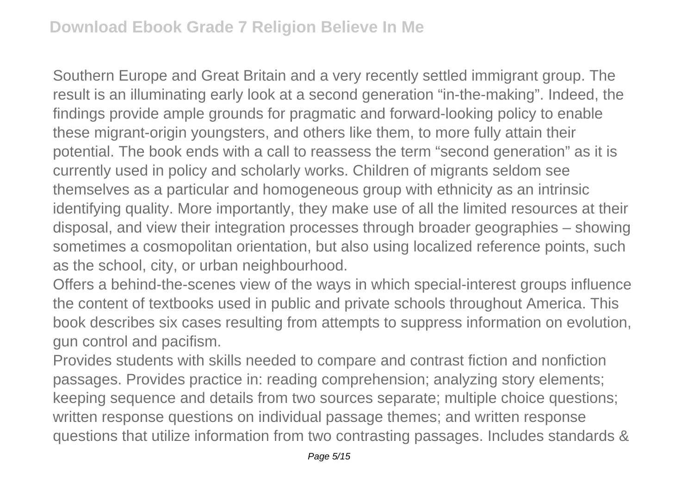Southern Europe and Great Britain and a very recently settled immigrant group. The result is an illuminating early look at a second generation "in-the-making". Indeed, the findings provide ample grounds for pragmatic and forward-looking policy to enable these migrant-origin youngsters, and others like them, to more fully attain their potential. The book ends with a call to reassess the term "second generation" as it is currently used in policy and scholarly works. Children of migrants seldom see themselves as a particular and homogeneous group with ethnicity as an intrinsic identifying quality. More importantly, they make use of all the limited resources at their disposal, and view their integration processes through broader geographies – showing sometimes a cosmopolitan orientation, but also using localized reference points, such as the school, city, or urban neighbourhood.

Offers a behind-the-scenes view of the ways in which special-interest groups influence the content of textbooks used in public and private schools throughout America. This book describes six cases resulting from attempts to suppress information on evolution, gun control and pacifism.

Provides students with skills needed to compare and contrast fiction and nonfiction passages. Provides practice in: reading comprehension; analyzing story elements; keeping sequence and details from two sources separate; multiple choice questions; written response questions on individual passage themes; and written response questions that utilize information from two contrasting passages. Includes standards &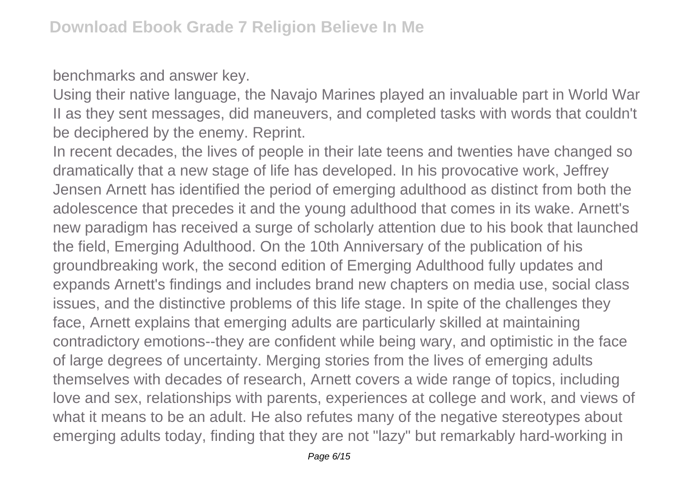benchmarks and answer key.

Using their native language, the Navajo Marines played an invaluable part in World War II as they sent messages, did maneuvers, and completed tasks with words that couldn't be deciphered by the enemy. Reprint.

In recent decades, the lives of people in their late teens and twenties have changed so dramatically that a new stage of life has developed. In his provocative work, Jeffrey Jensen Arnett has identified the period of emerging adulthood as distinct from both the adolescence that precedes it and the young adulthood that comes in its wake. Arnett's new paradigm has received a surge of scholarly attention due to his book that launched the field, Emerging Adulthood. On the 10th Anniversary of the publication of his groundbreaking work, the second edition of Emerging Adulthood fully updates and expands Arnett's findings and includes brand new chapters on media use, social class issues, and the distinctive problems of this life stage. In spite of the challenges they face, Arnett explains that emerging adults are particularly skilled at maintaining contradictory emotions--they are confident while being wary, and optimistic in the face of large degrees of uncertainty. Merging stories from the lives of emerging adults themselves with decades of research, Arnett covers a wide range of topics, including love and sex, relationships with parents, experiences at college and work, and views of what it means to be an adult. He also refutes many of the negative stereotypes about emerging adults today, finding that they are not "lazy" but remarkably hard-working in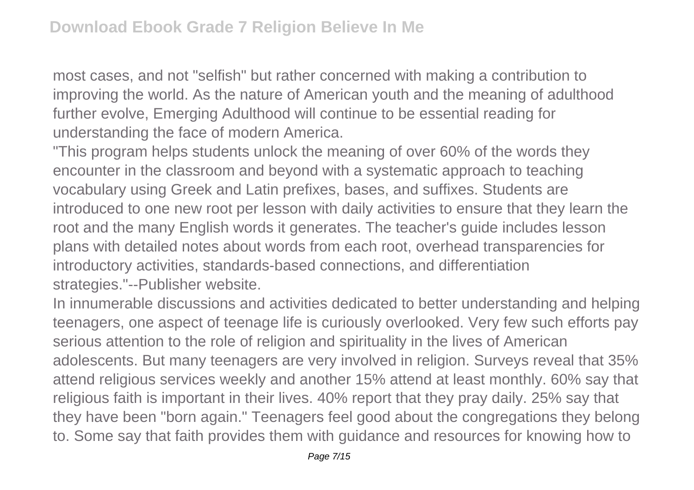most cases, and not "selfish" but rather concerned with making a contribution to improving the world. As the nature of American youth and the meaning of adulthood further evolve, Emerging Adulthood will continue to be essential reading for understanding the face of modern America.

"This program helps students unlock the meaning of over 60% of the words they encounter in the classroom and beyond with a systematic approach to teaching vocabulary using Greek and Latin prefixes, bases, and suffixes. Students are introduced to one new root per lesson with daily activities to ensure that they learn the root and the many English words it generates. The teacher's guide includes lesson plans with detailed notes about words from each root, overhead transparencies for introductory activities, standards-based connections, and differentiation strategies."--Publisher website.

In innumerable discussions and activities dedicated to better understanding and helping teenagers, one aspect of teenage life is curiously overlooked. Very few such efforts pay serious attention to the role of religion and spirituality in the lives of American adolescents. But many teenagers are very involved in religion. Surveys reveal that 35% attend religious services weekly and another 15% attend at least monthly. 60% say that religious faith is important in their lives. 40% report that they pray daily. 25% say that they have been "born again." Teenagers feel good about the congregations they belong to. Some say that faith provides them with guidance and resources for knowing how to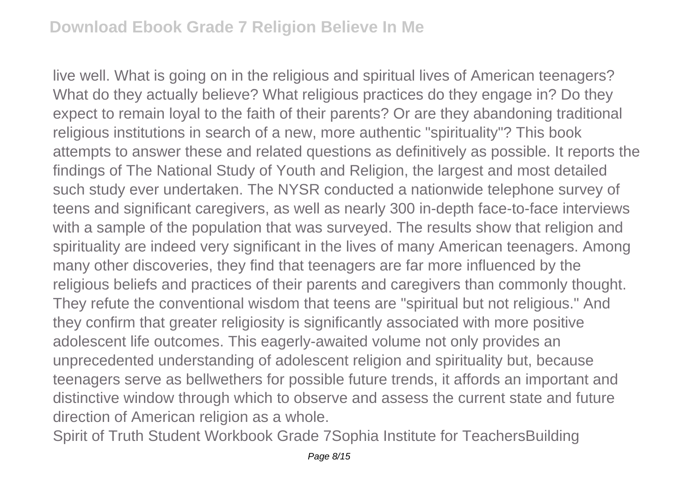live well. What is going on in the religious and spiritual lives of American teenagers? What do they actually believe? What religious practices do they engage in? Do they expect to remain loyal to the faith of their parents? Or are they abandoning traditional religious institutions in search of a new, more authentic "spirituality"? This book attempts to answer these and related questions as definitively as possible. It reports the findings of The National Study of Youth and Religion, the largest and most detailed such study ever undertaken. The NYSR conducted a nationwide telephone survey of teens and significant caregivers, as well as nearly 300 in-depth face-to-face interviews with a sample of the population that was surveyed. The results show that religion and spirituality are indeed very significant in the lives of many American teenagers. Among many other discoveries, they find that teenagers are far more influenced by the religious beliefs and practices of their parents and caregivers than commonly thought. They refute the conventional wisdom that teens are "spiritual but not religious." And they confirm that greater religiosity is significantly associated with more positive adolescent life outcomes. This eagerly-awaited volume not only provides an unprecedented understanding of adolescent religion and spirituality but, because teenagers serve as bellwethers for possible future trends, it affords an important and distinctive window through which to observe and assess the current state and future direction of American religion as a whole.

Spirit of Truth Student Workbook Grade 7Sophia Institute for TeachersBuilding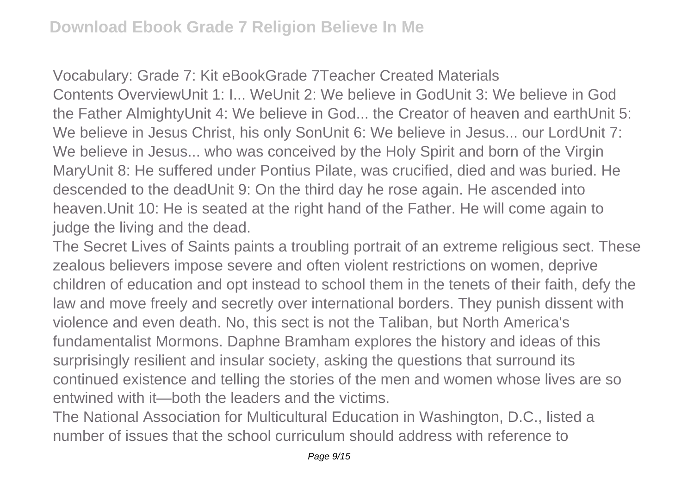Vocabulary: Grade 7: Kit eBookGrade 7Teacher Created Materials Contents OverviewUnit 1: I... WeUnit 2: We believe in GodUnit 3: We believe in God the Father AlmightyUnit 4: We believe in God... the Creator of heaven and earthUnit 5: We believe in Jesus Christ, his only SonUnit 6: We believe in Jesus... our LordUnit 7: We believe in Jesus... who was conceived by the Holy Spirit and born of the Virgin MaryUnit 8: He suffered under Pontius Pilate, was crucified, died and was buried. He descended to the deadUnit 9: On the third day he rose again. He ascended into heaven.Unit 10: He is seated at the right hand of the Father. He will come again to judge the living and the dead.

The Secret Lives of Saints paints a troubling portrait of an extreme religious sect. These zealous believers impose severe and often violent restrictions on women, deprive children of education and opt instead to school them in the tenets of their faith, defy the law and move freely and secretly over international borders. They punish dissent with violence and even death. No, this sect is not the Taliban, but North America's fundamentalist Mormons. Daphne Bramham explores the history and ideas of this surprisingly resilient and insular society, asking the questions that surround its continued existence and telling the stories of the men and women whose lives are so entwined with it—both the leaders and the victims.

The National Association for Multicultural Education in Washington, D.C., listed a number of issues that the school curriculum should address with reference to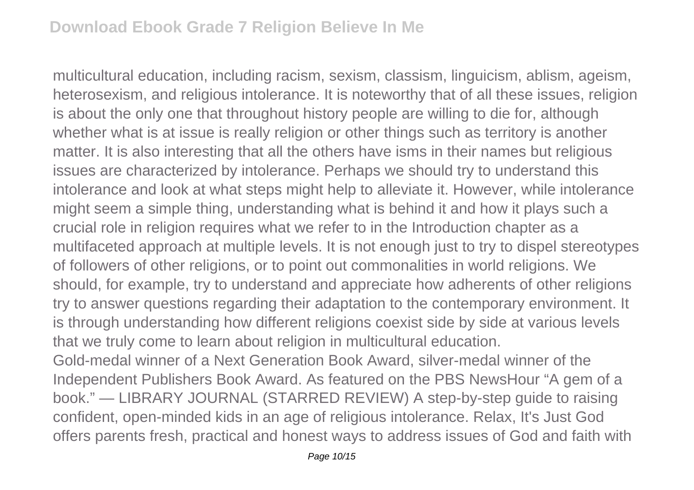multicultural education, including racism, sexism, classism, linguicism, ablism, ageism, heterosexism, and religious intolerance. It is noteworthy that of all these issues, religion is about the only one that throughout history people are willing to die for, although whether what is at issue is really religion or other things such as territory is another matter. It is also interesting that all the others have isms in their names but religious issues are characterized by intolerance. Perhaps we should try to understand this intolerance and look at what steps might help to alleviate it. However, while intolerance might seem a simple thing, understanding what is behind it and how it plays such a crucial role in religion requires what we refer to in the Introduction chapter as a multifaceted approach at multiple levels. It is not enough just to try to dispel stereotypes of followers of other religions, or to point out commonalities in world religions. We should, for example, try to understand and appreciate how adherents of other religions try to answer questions regarding their adaptation to the contemporary environment. It is through understanding how different religions coexist side by side at various levels that we truly come to learn about religion in multicultural education. Gold-medal winner of a Next Generation Book Award, silver-medal winner of the Independent Publishers Book Award. As featured on the PBS NewsHour "A gem of a

book." — LIBRARY JOURNAL (STARRED REVIEW) A step-by-step guide to raising confident, open-minded kids in an age of religious intolerance. Relax, It's Just God offers parents fresh, practical and honest ways to address issues of God and faith with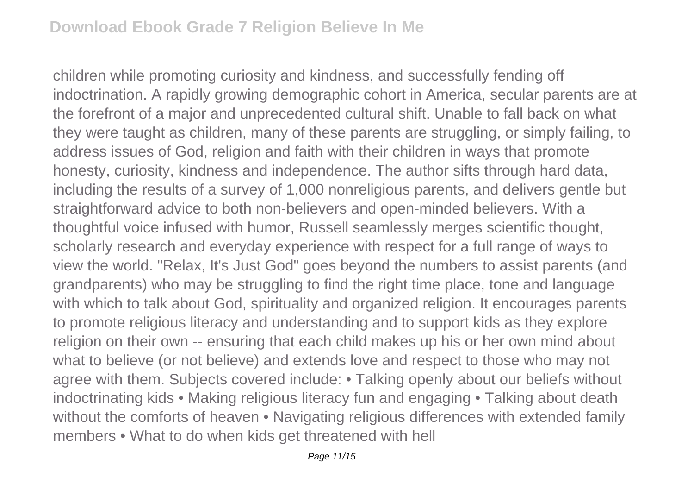children while promoting curiosity and kindness, and successfully fending off indoctrination. A rapidly growing demographic cohort in America, secular parents are at the forefront of a major and unprecedented cultural shift. Unable to fall back on what they were taught as children, many of these parents are struggling, or simply failing, to address issues of God, religion and faith with their children in ways that promote honesty, curiosity, kindness and independence. The author sifts through hard data, including the results of a survey of 1,000 nonreligious parents, and delivers gentle but straightforward advice to both non-believers and open-minded believers. With a thoughtful voice infused with humor, Russell seamlessly merges scientific thought, scholarly research and everyday experience with respect for a full range of ways to view the world. "Relax, It's Just God" goes beyond the numbers to assist parents (and grandparents) who may be struggling to find the right time place, tone and language with which to talk about God, spirituality and organized religion. It encourages parents to promote religious literacy and understanding and to support kids as they explore religion on their own -- ensuring that each child makes up his or her own mind about what to believe (or not believe) and extends love and respect to those who may not agree with them. Subjects covered include: • Talking openly about our beliefs without indoctrinating kids • Making religious literacy fun and engaging • Talking about death without the comforts of heaven • Navigating religious differences with extended family members • What to do when kids get threatened with hell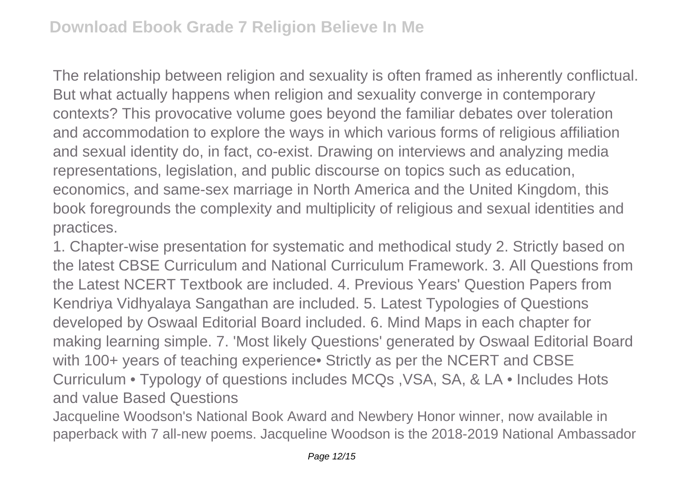The relationship between religion and sexuality is often framed as inherently conflictual. But what actually happens when religion and sexuality converge in contemporary contexts? This provocative volume goes beyond the familiar debates over toleration and accommodation to explore the ways in which various forms of religious affiliation and sexual identity do, in fact, co-exist. Drawing on interviews and analyzing media representations, legislation, and public discourse on topics such as education, economics, and same-sex marriage in North America and the United Kingdom, this book foregrounds the complexity and multiplicity of religious and sexual identities and practices.

1. Chapter-wise presentation for systematic and methodical study 2. Strictly based on the latest CBSE Curriculum and National Curriculum Framework. 3. All Questions from the Latest NCERT Textbook are included. 4. Previous Years' Question Papers from Kendriya Vidhyalaya Sangathan are included. 5. Latest Typologies of Questions developed by Oswaal Editorial Board included. 6. Mind Maps in each chapter for making learning simple. 7. 'Most likely Questions' generated by Oswaal Editorial Board with 100+ years of teaching experience• Strictly as per the NCERT and CBSE Curriculum • Typology of questions includes MCQs ,VSA, SA, & LA • Includes Hots and value Based Questions

Jacqueline Woodson's National Book Award and Newbery Honor winner, now available in paperback with 7 all-new poems. Jacqueline Woodson is the 2018-2019 National Ambassador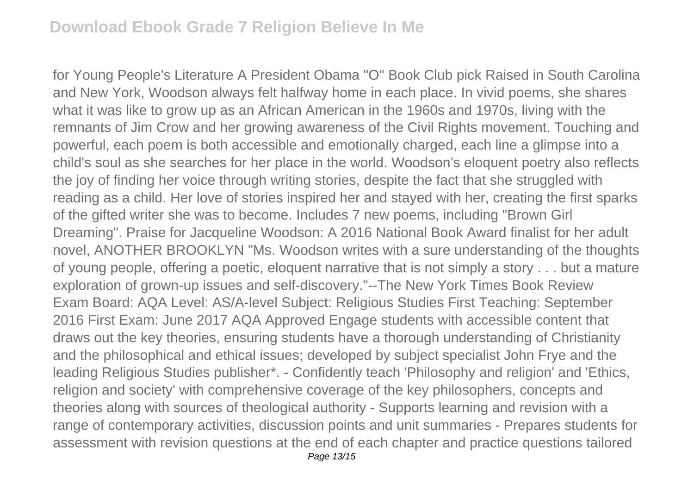for Young People's Literature A President Obama "O" Book Club pick Raised in South Carolina and New York, Woodson always felt halfway home in each place. In vivid poems, she shares what it was like to grow up as an African American in the 1960s and 1970s, living with the remnants of Jim Crow and her growing awareness of the Civil Rights movement. Touching and powerful, each poem is both accessible and emotionally charged, each line a glimpse into a child's soul as she searches for her place in the world. Woodson's eloquent poetry also reflects the joy of finding her voice through writing stories, despite the fact that she struggled with reading as a child. Her love of stories inspired her and stayed with her, creating the first sparks of the gifted writer she was to become. Includes 7 new poems, including "Brown Girl Dreaming". Praise for Jacqueline Woodson: A 2016 National Book Award finalist for her adult novel, ANOTHER BROOKLYN "Ms. Woodson writes with a sure understanding of the thoughts of young people, offering a poetic, eloquent narrative that is not simply a story . . . but a mature exploration of grown-up issues and self-discovery."--The New York Times Book Review Exam Board: AQA Level: AS/A-level Subject: Religious Studies First Teaching: September 2016 First Exam: June 2017 AQA Approved Engage students with accessible content that draws out the key theories, ensuring students have a thorough understanding of Christianity and the philosophical and ethical issues; developed by subject specialist John Frye and the leading Religious Studies publisher\*. - Confidently teach 'Philosophy and religion' and 'Ethics, religion and society' with comprehensive coverage of the key philosophers, concepts and theories along with sources of theological authority - Supports learning and revision with a range of contemporary activities, discussion points and unit summaries - Prepares students for assessment with revision questions at the end of each chapter and practice questions tailored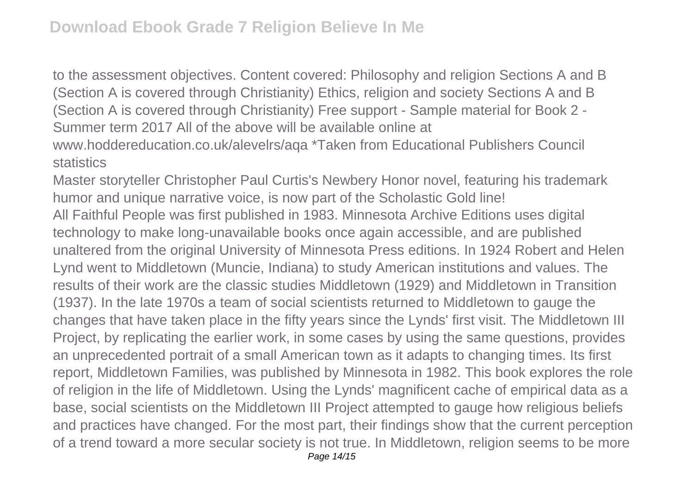to the assessment objectives. Content covered: Philosophy and religion Sections A and B (Section A is covered through Christianity) Ethics, religion and society Sections A and B (Section A is covered through Christianity) Free support - Sample material for Book 2 - Summer term 2017 All of the above will be available online at www.hoddereducation.co.uk/alevelrs/aqa \*Taken from Educational Publishers Council

**statistics** 

Master storyteller Christopher Paul Curtis's Newbery Honor novel, featuring his trademark humor and unique narrative voice, is now part of the Scholastic Gold line! All Faithful People was first published in 1983. Minnesota Archive Editions uses digital technology to make long-unavailable books once again accessible, and are published unaltered from the original University of Minnesota Press editions. In 1924 Robert and Helen Lynd went to Middletown (Muncie, Indiana) to study American institutions and values. The results of their work are the classic studies Middletown (1929) and Middletown in Transition (1937). In the late 1970s a team of social scientists returned to Middletown to gauge the changes that have taken place in the fifty years since the Lynds' first visit. The Middletown III Project, by replicating the earlier work, in some cases by using the same questions, provides an unprecedented portrait of a small American town as it adapts to changing times. Its first report, Middletown Families, was published by Minnesota in 1982. This book explores the role of religion in the life of Middletown. Using the Lynds' magnificent cache of empirical data as a base, social scientists on the Middletown III Project attempted to gauge how religious beliefs and practices have changed. For the most part, their findings show that the current perception of a trend toward a more secular society is not true. In Middletown, religion seems to be more